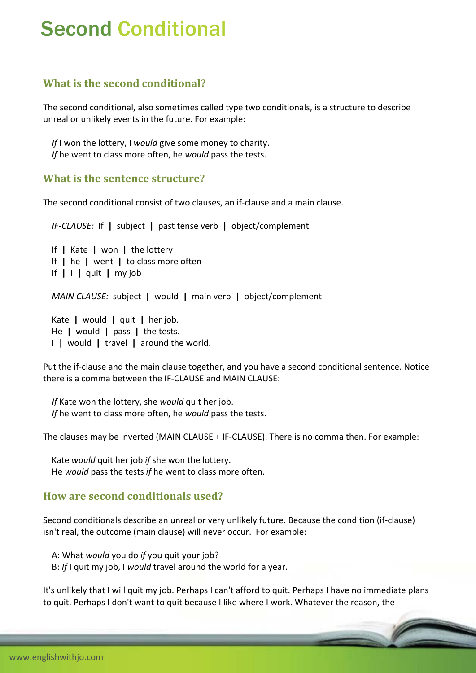# Second Conditional

## **What is the second conditional?**

The second conditional, also sometimes called type two conditionals, is a structure to describe unreal or unlikely events in the future. For example:

 *If* I won the lottery, I *would* give some money to charity. *If* he went to class more often, he *would* pass the tests.

#### **What is the sentence structure?**

The second conditional consist of two clauses, an if‐clause and a main clause.

*IF‐CLAUSE:* If **|** subject **|** past tense verb **|** object/complement

 If **|** Kate **|** won **|** the lottery If **|** he **|** went **|** to class more often If **|** I **|** quit **|** my job *MAIN CLAUSE:* subject **|** would **|** main verb **|** object/complement

 Kate **|** would **|** quit **|** her job. He **|** would **|** pass **|** the tests. I **|** would **|** travel **|** around the world.

Put the if‐clause and the main clause together, and you have a second conditional sentence. Notice there is a comma between the IF‐CLAUSE and MAIN CLAUSE:

 *If* Kate won the lottery, she *would* quit her job. *If* he went to class more often, he *would* pass the tests.

The clauses may be inverted (MAIN CLAUSE + IF‐CLAUSE). There is no comma then. For example:

 Kate *would* quit her job *if* she won the lottery. He *would* pass the tests *if* he went to class more often.

### **How are second conditionals used?**

Second conditionals describe an unreal or very unlikely future. Because the condition (if‐clause) isn't real, the outcome (main clause) will never occur. For example:

 A: What *would* you do *if* you quit your job? B: *If* I quit my job, I *would* travel around the world for a year.

It's unlikely that I will quit my job. Perhaps I can't afford to quit. Perhaps I have no immediate plans to quit. Perhaps I don't want to quit because I like where I work. Whatever the reason, the